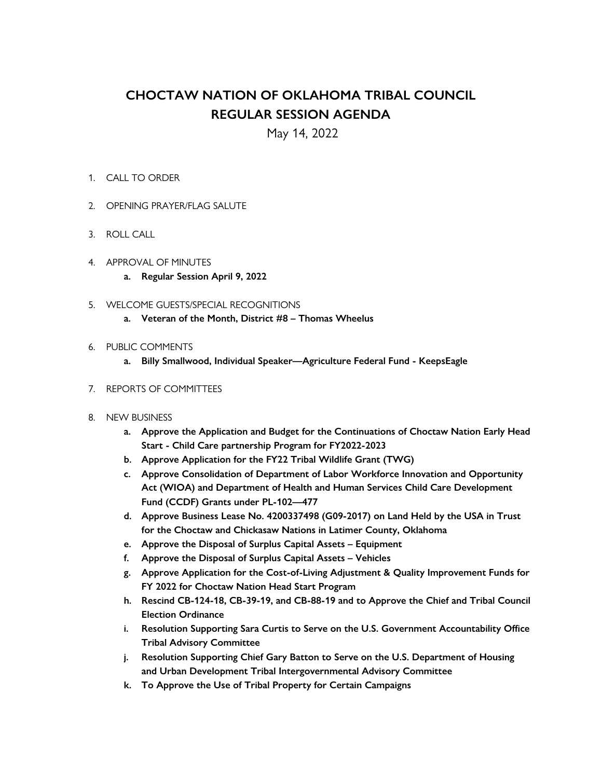## **CHOCTAW NATION OF OKLAHOMA TRIBAL COUNCIL REGULAR SESSION AGENDA**

May 14, 2022

## 1. CALL TO ORDER

- 2. OPENING PRAYER/FLAG SALUTE
- 3. ROLL CALL
- 4. APPROVAL OF MINUTES
	- **a. Regular Session April 9, 2022**
- 5. WELCOME GUESTS/SPECIAL RECOGNITIONS
	- **a. Veteran of the Month, District #8 – Thomas Wheelus**
- 6. PUBLIC COMMENTS
	- **a. Billy Smallwood, Individual Speaker—Agriculture Federal Fund - KeepsEagle**
- 7. REPORTS OF COMMITTEES
- 8. NEW BUSINESS
	- **a. Approve the Application and Budget for the Continuations of Choctaw Nation Early Head Start - Child Care partnership Program for FY2022-2023**
	- **b. Approve Application for the FY22 Tribal Wildlife Grant (TWG)**
	- **c. Approve Consolidation of Department of Labor Workforce Innovation and Opportunity Act (WIOA) and Department of Health and Human Services Child Care Development Fund (CCDF) Grants under PL-102—477**
	- **d. Approve Business Lease No. 4200337498 (G09-2017) on Land Held by the USA in Trust for the Choctaw and Chickasaw Nations in Latimer County, Oklahoma**
	- **e. Approve the Disposal of Surplus Capital Assets – Equipment**
	- **f. Approve the Disposal of Surplus Capital Assets – Vehicles**
	- **g. Approve Application for the Cost-of-Living Adjustment & Quality Improvement Funds for FY 2022 for Choctaw Nation Head Start Program**
	- **h. Rescind CB-124-18, CB-39-19, and CB-88-19 and to Approve the Chief and Tribal Council Election Ordinance**
	- **i. Resolution Supporting Sara Curtis to Serve on the U.S. Government Accountability Office Tribal Advisory Committee**
	- **j. Resolution Supporting Chief Gary Batton to Serve on the U.S. Department of Housing and Urban Development Tribal Intergovernmental Advisory Committee**
	- **k. To Approve the Use of Tribal Property for Certain Campaigns**